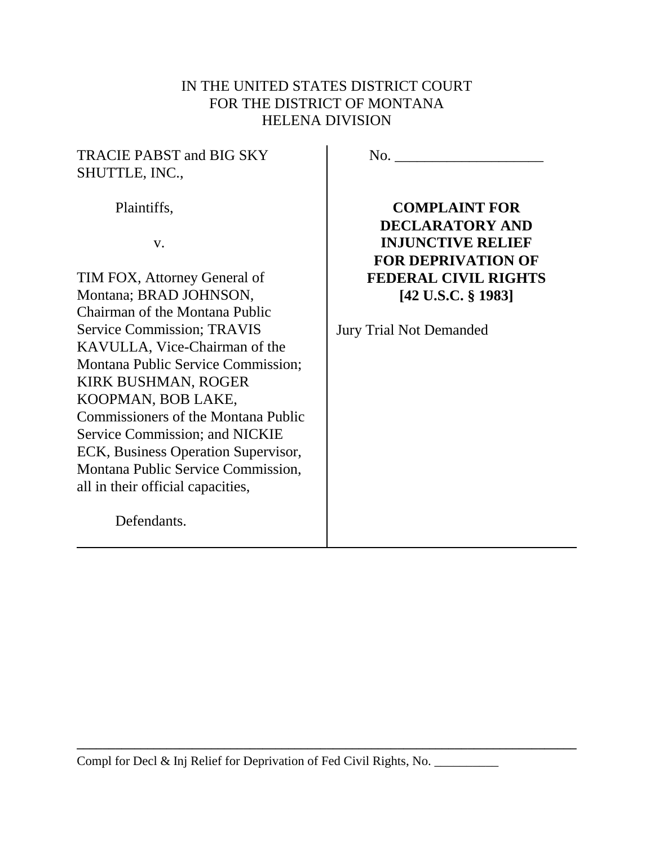# IN THE UNITED STATES DISTRICT COURT FOR THE DISTRICT OF MONTANA HELENA DIVISION

### TRACIE PABST and BIG SKY SHUTTLE, INC.,

Plaintiffs,

v.

TIM FOX, Attorney General of Montana; BRAD JOHNSON, Chairman of the Montana Public Service Commission; TRAVIS KAVULLA, Vice-Chairman of the Montana Public Service Commission; KIRK BUSHMAN, ROGER KOOPMAN, BOB LAKE, Commissioners of the Montana Public Service Commission; and NICKIE ECK, Business Operation Supervisor, Montana Public Service Commission, all in their official capacities,

Defendants.

No. \_\_\_\_\_\_\_\_\_\_\_\_\_\_\_\_\_\_\_\_

**COMPLAINT FOR DECLARATORY AND INJUNCTIVE RELIEF FOR DEPRIVATION OF FEDERAL CIVIL RIGHTS [42 U.S.C. § 1983]**

Jury Trial Not Demanded

Compl for Decl & Inj Relief for Deprivation of Fed Civil Rights, No.

**\_\_\_\_\_\_\_\_\_\_\_\_\_\_\_\_\_\_\_\_\_\_\_\_\_\_\_\_\_\_\_\_\_\_\_\_\_\_\_\_\_\_\_\_\_\_\_\_\_\_\_\_\_\_\_\_\_\_\_\_\_\_\_\_\_\_\_\_\_\_\_\_\_\_\_\_\_\_**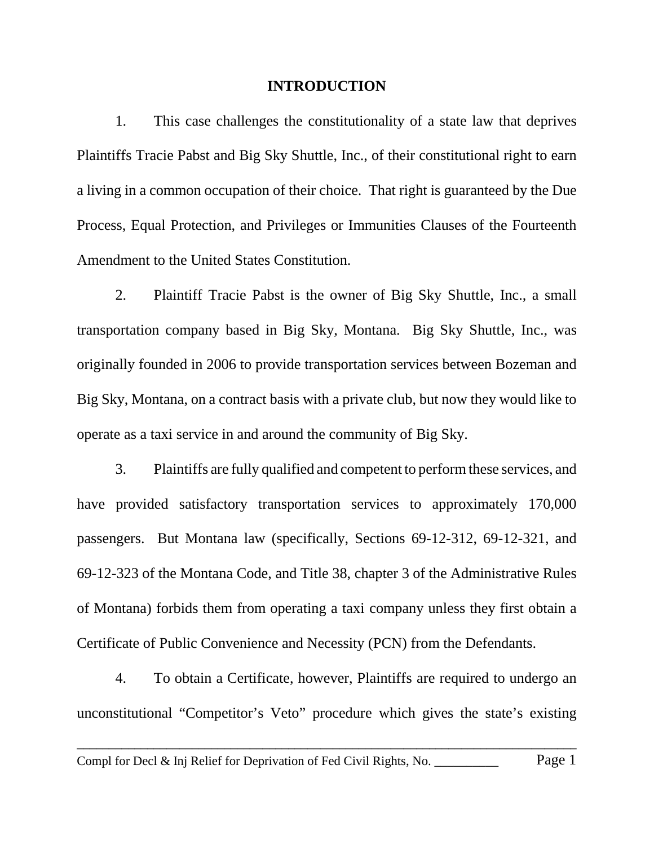#### **INTRODUCTION**

1. This case challenges the constitutionality of a state law that deprives Plaintiffs Tracie Pabst and Big Sky Shuttle, Inc., of their constitutional right to earn a living in a common occupation of their choice. That right is guaranteed by the Due Process, Equal Protection, and Privileges or Immunities Clauses of the Fourteenth Amendment to the United States Constitution.

2. Plaintiff Tracie Pabst is the owner of Big Sky Shuttle, Inc., a small transportation company based in Big Sky, Montana. Big Sky Shuttle, Inc., was originally founded in 2006 to provide transportation services between Bozeman and Big Sky, Montana, on a contract basis with a private club, but now they would like to operate as a taxi service in and around the community of Big Sky.

3. Plaintiffs are fully qualified and competent to perform these services, and have provided satisfactory transportation services to approximately 170,000 passengers. But Montana law (specifically, Sections 69-12-312, 69-12-321, and 69-12-323 of the Montana Code, and Title 38, chapter 3 of the Administrative Rules of Montana) forbids them from operating a taxi company unless they first obtain a Certificate of Public Convenience and Necessity (PCN) from the Defendants.

4. To obtain a Certificate, however, Plaintiffs are required to undergo an unconstitutional "Competitor's Veto" procedure which gives the state's existing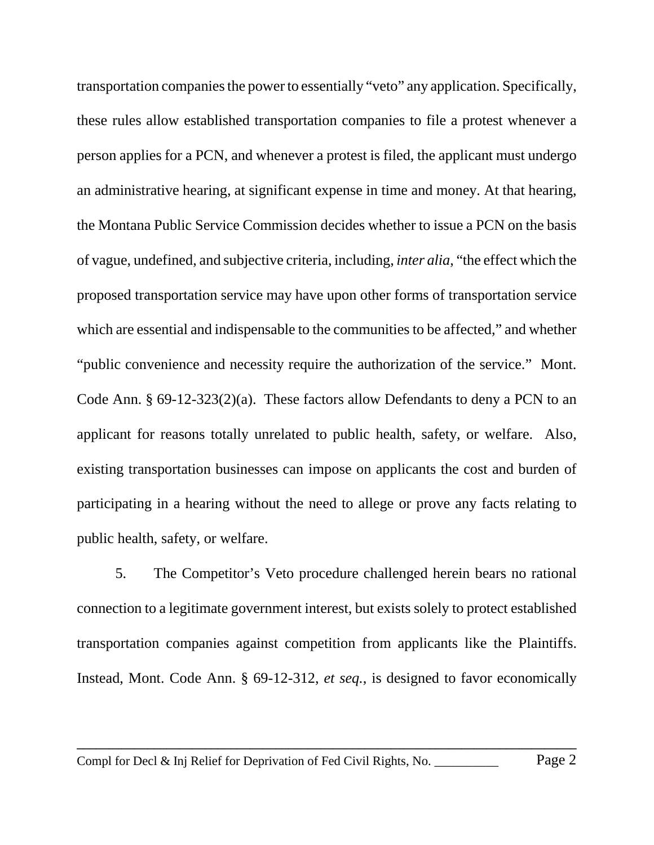transportation companies the power to essentially "veto" any application. Specifically, these rules allow established transportation companies to file a protest whenever a person applies for a PCN, and whenever a protest is filed, the applicant must undergo an administrative hearing, at significant expense in time and money. At that hearing, the Montana Public Service Commission decides whether to issue a PCN on the basis of vague, undefined, and subjective criteria, including, *inter alia*, "the effect which the proposed transportation service may have upon other forms of transportation service which are essential and indispensable to the communities to be affected," and whether "public convenience and necessity require the authorization of the service." Mont. Code Ann. § 69-12-323(2)(a). These factors allow Defendants to deny a PCN to an applicant for reasons totally unrelated to public health, safety, or welfare. Also, existing transportation businesses can impose on applicants the cost and burden of participating in a hearing without the need to allege or prove any facts relating to public health, safety, or welfare.

5. The Competitor's Veto procedure challenged herein bears no rational connection to a legitimate government interest, but exists solely to protect established transportation companies against competition from applicants like the Plaintiffs. Instead, Mont. Code Ann. § 69-12-312, *et seq.*, is designed to favor economically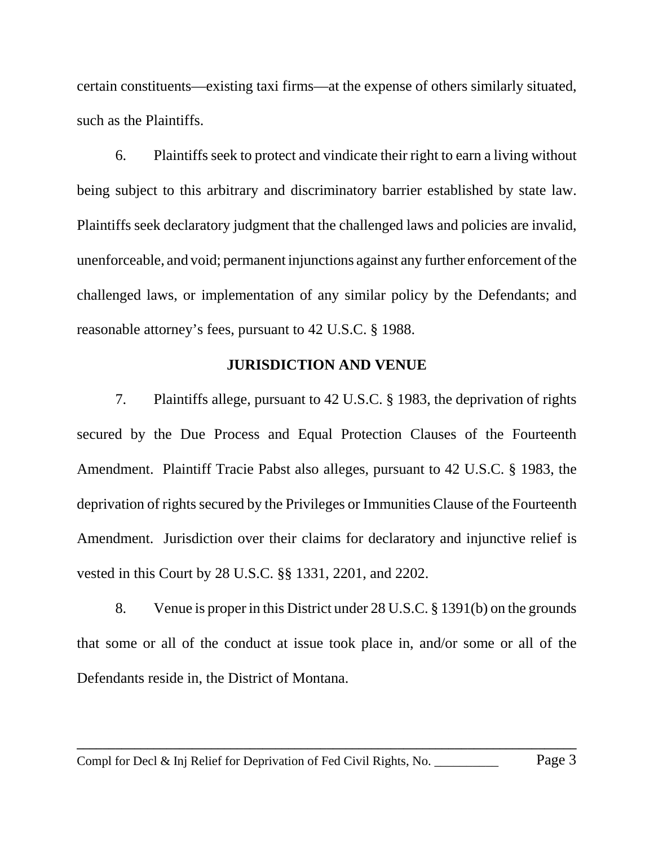certain constituents—existing taxi firms—at the expense of others similarly situated, such as the Plaintiffs.

6. Plaintiffs seek to protect and vindicate their right to earn a living without being subject to this arbitrary and discriminatory barrier established by state law. Plaintiffs seek declaratory judgment that the challenged laws and policies are invalid, unenforceable, and void; permanent injunctions against any further enforcement of the challenged laws, or implementation of any similar policy by the Defendants; and reasonable attorney's fees, pursuant to 42 U.S.C. § 1988.

### **JURISDICTION AND VENUE**

7. Plaintiffs allege, pursuant to 42 U.S.C. § 1983, the deprivation of rights secured by the Due Process and Equal Protection Clauses of the Fourteenth Amendment. Plaintiff Tracie Pabst also alleges, pursuant to 42 U.S.C. § 1983, the deprivation of rights secured by the Privileges or Immunities Clause of the Fourteenth Amendment. Jurisdiction over their claims for declaratory and injunctive relief is vested in this Court by 28 U.S.C. §§ 1331, 2201, and 2202.

8. Venue is proper in this District under 28 U.S.C. § 1391(b) on the grounds that some or all of the conduct at issue took place in, and/or some or all of the Defendants reside in, the District of Montana.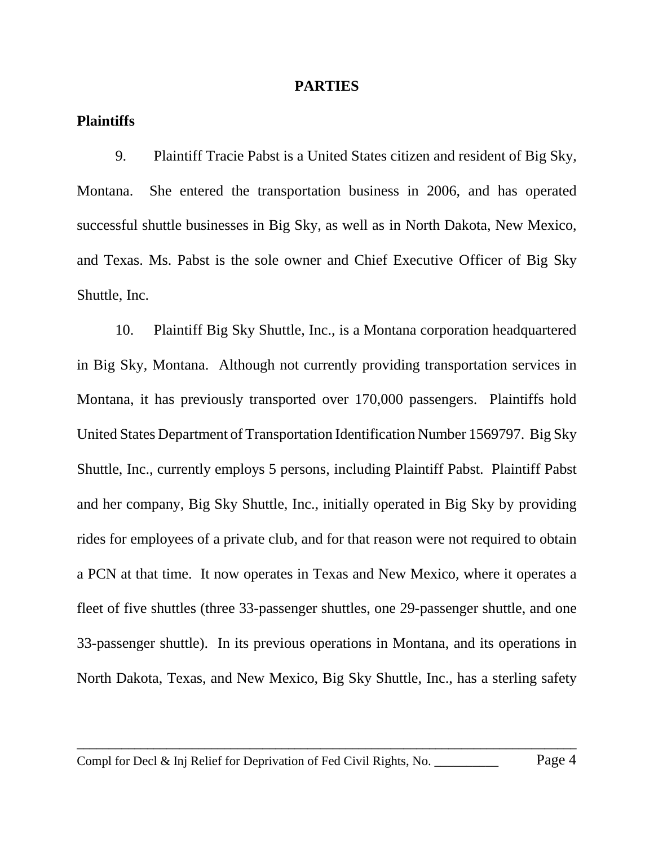#### **PARTIES**

### **Plaintiffs**

9. Plaintiff Tracie Pabst is a United States citizen and resident of Big Sky, Montana. She entered the transportation business in 2006, and has operated successful shuttle businesses in Big Sky, as well as in North Dakota, New Mexico, and Texas. Ms. Pabst is the sole owner and Chief Executive Officer of Big Sky Shuttle, Inc.

10. Plaintiff Big Sky Shuttle, Inc., is a Montana corporation headquartered in Big Sky, Montana. Although not currently providing transportation services in Montana, it has previously transported over 170,000 passengers. Plaintiffs hold United States Department of Transportation Identification Number 1569797. Big Sky Shuttle, Inc., currently employs 5 persons, including Plaintiff Pabst. Plaintiff Pabst and her company, Big Sky Shuttle, Inc., initially operated in Big Sky by providing rides for employees of a private club, and for that reason were not required to obtain a PCN at that time. It now operates in Texas and New Mexico, where it operates a fleet of five shuttles (three 33-passenger shuttles, one 29-passenger shuttle, and one 33-passenger shuttle). In its previous operations in Montana, and its operations in North Dakota, Texas, and New Mexico, Big Sky Shuttle, Inc., has a sterling safety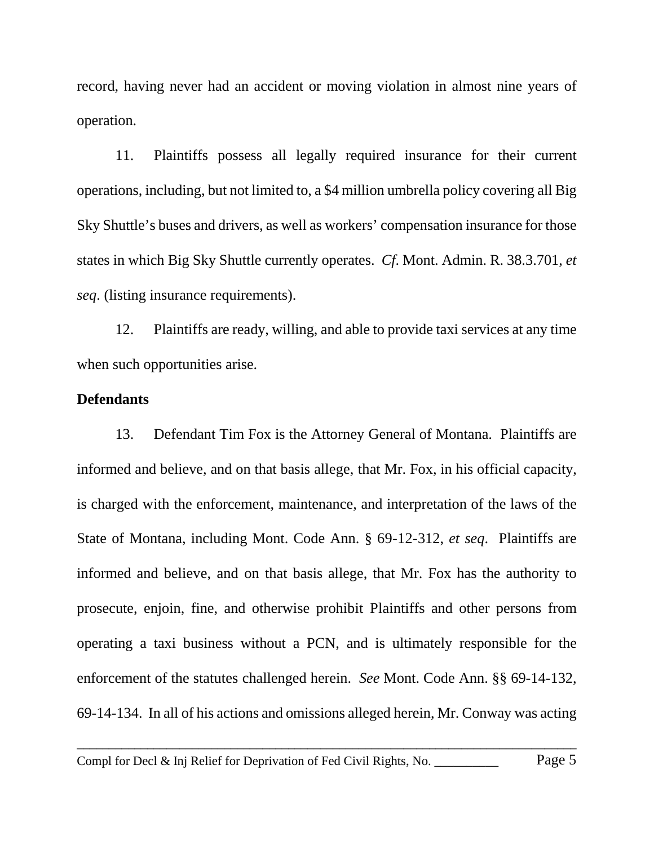record, having never had an accident or moving violation in almost nine years of operation.

11. Plaintiffs possess all legally required insurance for their current operations, including, but not limited to, a \$4 million umbrella policy covering all Big Sky Shuttle's buses and drivers, as well as workers' compensation insurance for those states in which Big Sky Shuttle currently operates. *Cf*. Mont. Admin. R. 38.3.701, *et seq*. (listing insurance requirements).

12. Plaintiffs are ready, willing, and able to provide taxi services at any time when such opportunities arise.

### **Defendants**

13. Defendant Tim Fox is the Attorney General of Montana. Plaintiffs are informed and believe, and on that basis allege, that Mr. Fox, in his official capacity, is charged with the enforcement, maintenance, and interpretation of the laws of the State of Montana, including Mont. Code Ann. § 69-12-312, *et seq*. Plaintiffs are informed and believe, and on that basis allege, that Mr. Fox has the authority to prosecute, enjoin, fine, and otherwise prohibit Plaintiffs and other persons from operating a taxi business without a PCN, and is ultimately responsible for the enforcement of the statutes challenged herein. *See* Mont. Code Ann. §§ 69-14-132, 69-14-134. In all of his actions and omissions alleged herein, Mr. Conway was acting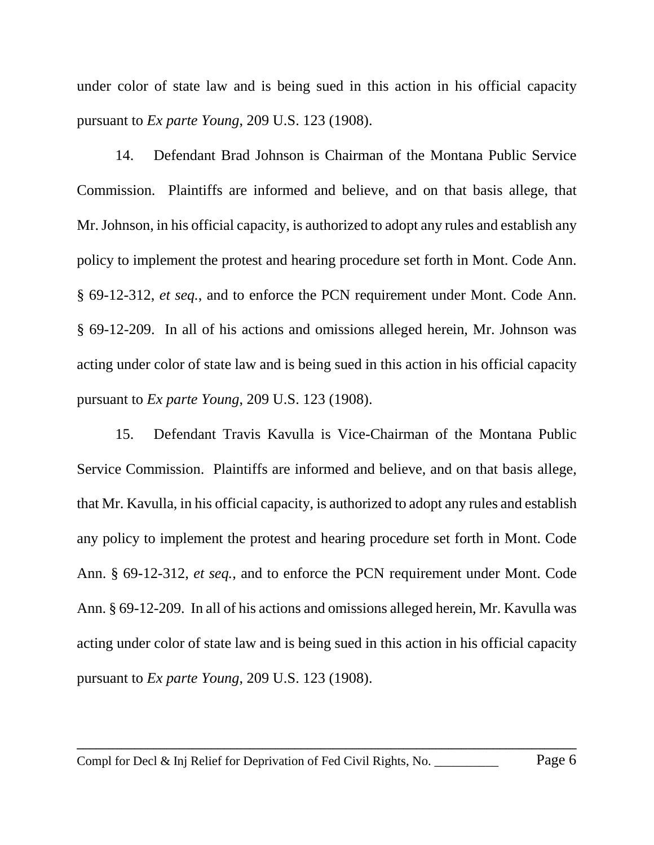under color of state law and is being sued in this action in his official capacity pursuant to *Ex parte Young*, 209 U.S. 123 (1908).

14. Defendant Brad Johnson is Chairman of the Montana Public Service Commission. Plaintiffs are informed and believe, and on that basis allege, that Mr. Johnson, in his official capacity, is authorized to adopt any rules and establish any policy to implement the protest and hearing procedure set forth in Mont. Code Ann. § 69-12-312, *et seq.*, and to enforce the PCN requirement under Mont. Code Ann. § 69-12-209. In all of his actions and omissions alleged herein, Mr. Johnson was acting under color of state law and is being sued in this action in his official capacity pursuant to *Ex parte Young*, 209 U.S. 123 (1908).

15. Defendant Travis Kavulla is Vice-Chairman of the Montana Public Service Commission. Plaintiffs are informed and believe, and on that basis allege, that Mr. Kavulla, in his official capacity, is authorized to adopt any rules and establish any policy to implement the protest and hearing procedure set forth in Mont. Code Ann. § 69-12-312, *et seq.*, and to enforce the PCN requirement under Mont. Code Ann. § 69-12-209. In all of his actions and omissions alleged herein, Mr. Kavulla was acting under color of state law and is being sued in this action in his official capacity pursuant to *Ex parte Young*, 209 U.S. 123 (1908).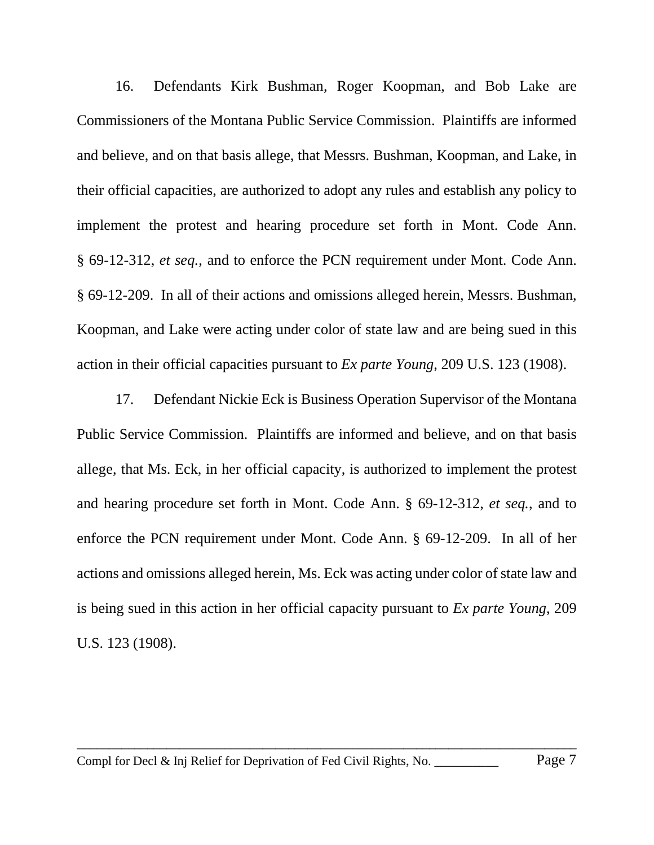16. Defendants Kirk Bushman, Roger Koopman, and Bob Lake are Commissioners of the Montana Public Service Commission. Plaintiffs are informed and believe, and on that basis allege, that Messrs. Bushman, Koopman, and Lake, in their official capacities, are authorized to adopt any rules and establish any policy to implement the protest and hearing procedure set forth in Mont. Code Ann. § 69-12-312, *et seq.*, and to enforce the PCN requirement under Mont. Code Ann. § 69-12-209. In all of their actions and omissions alleged herein, Messrs. Bushman, Koopman, and Lake were acting under color of state law and are being sued in this action in their official capacities pursuant to *Ex parte Young*, 209 U.S. 123 (1908).

17. Defendant Nickie Eck is Business Operation Supervisor of the Montana Public Service Commission. Plaintiffs are informed and believe, and on that basis allege, that Ms. Eck, in her official capacity, is authorized to implement the protest and hearing procedure set forth in Mont. Code Ann. § 69-12-312, *et seq.*, and to enforce the PCN requirement under Mont. Code Ann. § 69-12-209. In all of her actions and omissions alleged herein, Ms. Eck was acting under color of state law and is being sued in this action in her official capacity pursuant to *Ex parte Young*, 209 U.S. 123 (1908).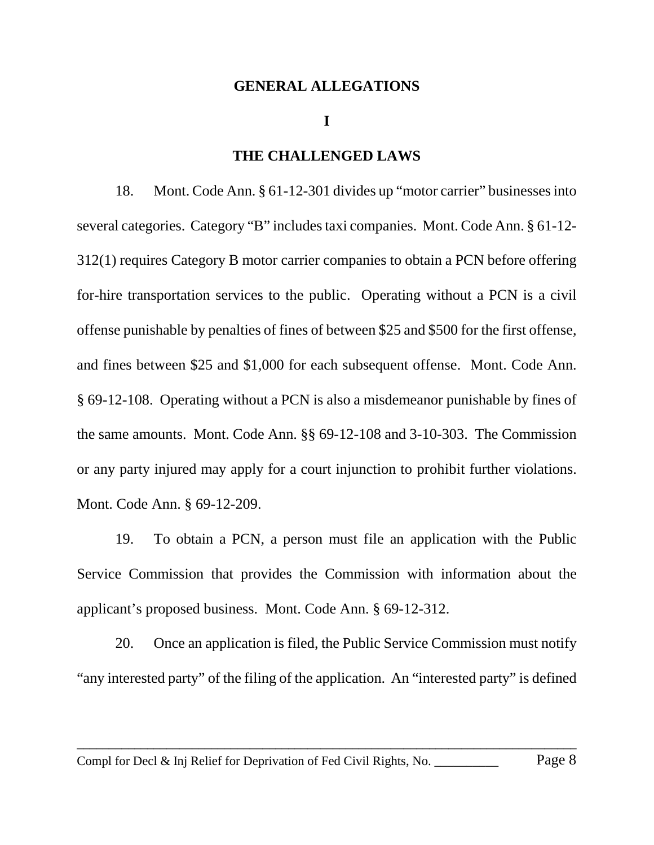#### **GENERAL ALLEGATIONS**

#### **I**

### **THE CHALLENGED LAWS**

18. Mont. Code Ann. § 61-12-301 divides up "motor carrier" businesses into several categories. Category "B" includes taxi companies. Mont. Code Ann. § 61-12- 312(1) requires Category B motor carrier companies to obtain a PCN before offering for-hire transportation services to the public. Operating without a PCN is a civil offense punishable by penalties of fines of between \$25 and \$500 for the first offense, and fines between \$25 and \$1,000 for each subsequent offense. Mont. Code Ann. § 69-12-108. Operating without a PCN is also a misdemeanor punishable by fines of the same amounts. Mont. Code Ann. §§ 69-12-108 and 3-10-303. The Commission or any party injured may apply for a court injunction to prohibit further violations. Mont. Code Ann. § 69-12-209.

19. To obtain a PCN, a person must file an application with the Public Service Commission that provides the Commission with information about the applicant's proposed business. Mont. Code Ann. § 69-12-312.

20. Once an application is filed, the Public Service Commission must notify "any interested party" of the filing of the application. An "interested party" is defined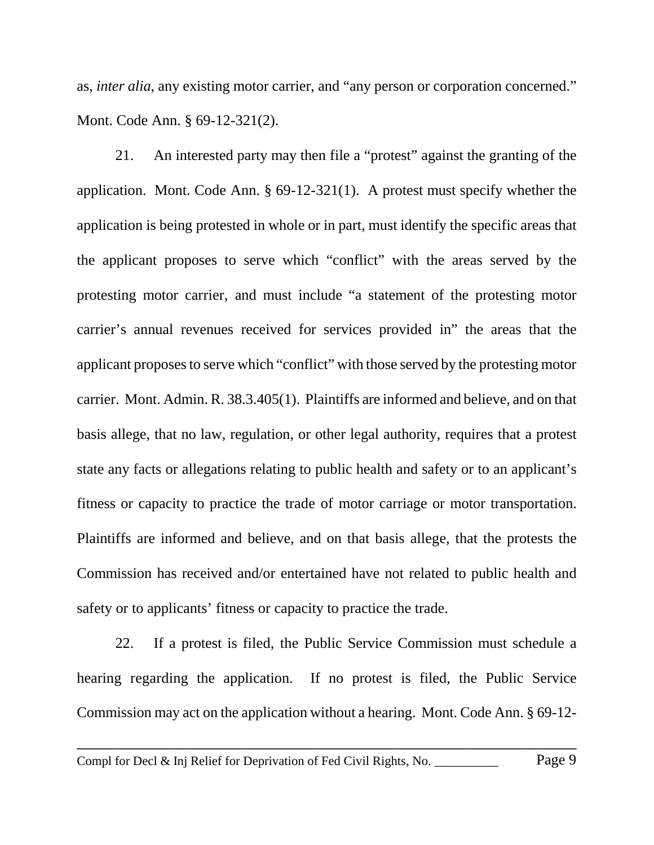as, *inter alia*, any existing motor carrier, and "any person or corporation concerned." Mont. Code Ann. § 69-12-321(2).

21. An interested party may then file a "protest" against the granting of the application. Mont. Code Ann. § 69-12-321(1). A protest must specify whether the application is being protested in whole or in part, must identify the specific areas that the applicant proposes to serve which "conflict" with the areas served by the protesting motor carrier, and must include "a statement of the protesting motor carrier's annual revenues received for services provided in" the areas that the applicant proposes to serve which "conflict" with those served by the protesting motor carrier. Mont. Admin. R. 38.3.405(1). Plaintiffs are informed and believe, and on that basis allege, that no law, regulation, or other legal authority, requires that a protest state any facts or allegations relating to public health and safety or to an applicant's fitness or capacity to practice the trade of motor carriage or motor transportation. Plaintiffs are informed and believe, and on that basis allege, that the protests the Commission has received and/or entertained have not related to public health and safety or to applicants' fitness or capacity to practice the trade.

22. If a protest is filed, the Public Service Commission must schedule a hearing regarding the application. If no protest is filed, the Public Service Commission may act on the application without a hearing. Mont. Code Ann. § 69-12-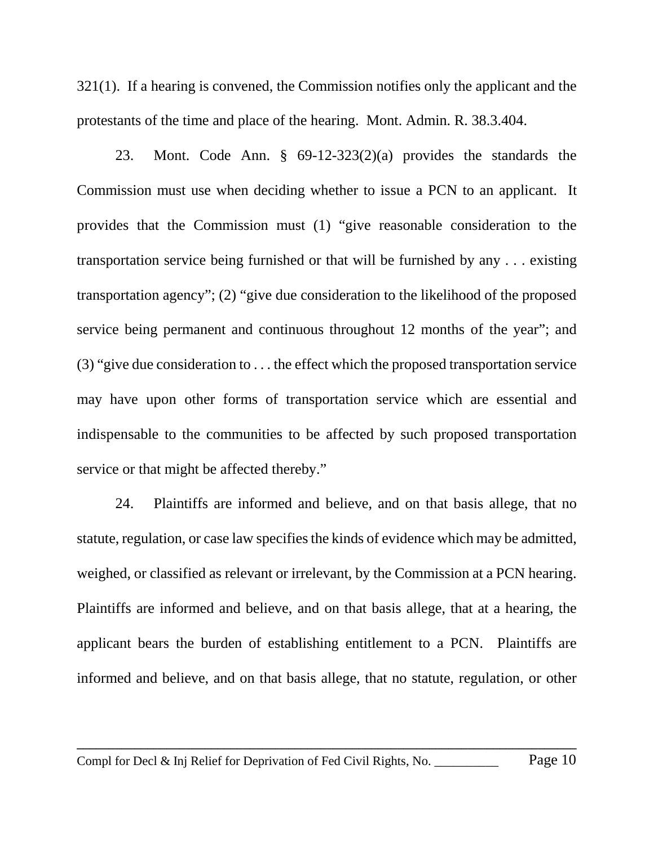321(1). If a hearing is convened, the Commission notifies only the applicant and the protestants of the time and place of the hearing. Mont. Admin. R. 38.3.404.

23. Mont. Code Ann. § 69-12-323(2)(a) provides the standards the Commission must use when deciding whether to issue a PCN to an applicant. It provides that the Commission must (1) "give reasonable consideration to the transportation service being furnished or that will be furnished by any . . . existing transportation agency"; (2) "give due consideration to the likelihood of the proposed service being permanent and continuous throughout 12 months of the year"; and (3) "give due consideration to . . . the effect which the proposed transportation service may have upon other forms of transportation service which are essential and indispensable to the communities to be affected by such proposed transportation service or that might be affected thereby."

24. Plaintiffs are informed and believe, and on that basis allege, that no statute, regulation, or case law specifies the kinds of evidence which may be admitted, weighed, or classified as relevant or irrelevant, by the Commission at a PCN hearing. Plaintiffs are informed and believe, and on that basis allege, that at a hearing, the applicant bears the burden of establishing entitlement to a PCN. Plaintiffs are informed and believe, and on that basis allege, that no statute, regulation, or other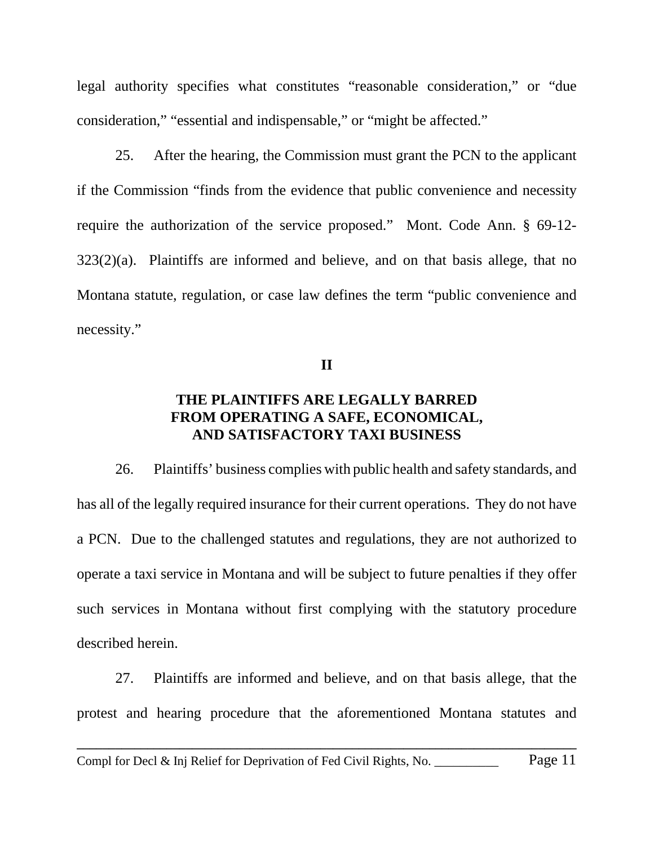legal authority specifies what constitutes "reasonable consideration," or "due consideration," "essential and indispensable," or "might be affected."

25. After the hearing, the Commission must grant the PCN to the applicant if the Commission "finds from the evidence that public convenience and necessity require the authorization of the service proposed." Mont. Code Ann. § 69-12- 323(2)(a). Plaintiffs are informed and believe, and on that basis allege, that no Montana statute, regulation, or case law defines the term "public convenience and necessity."

**II**

# **THE PLAINTIFFS ARE LEGALLY BARRED FROM OPERATING A SAFE, ECONOMICAL, AND SATISFACTORY TAXI BUSINESS**

26. Plaintiffs' business complies with public health and safety standards, and has all of the legally required insurance for their current operations. They do not have a PCN. Due to the challenged statutes and regulations, they are not authorized to operate a taxi service in Montana and will be subject to future penalties if they offer such services in Montana without first complying with the statutory procedure described herein.

27. Plaintiffs are informed and believe, and on that basis allege, that the protest and hearing procedure that the aforementioned Montana statutes and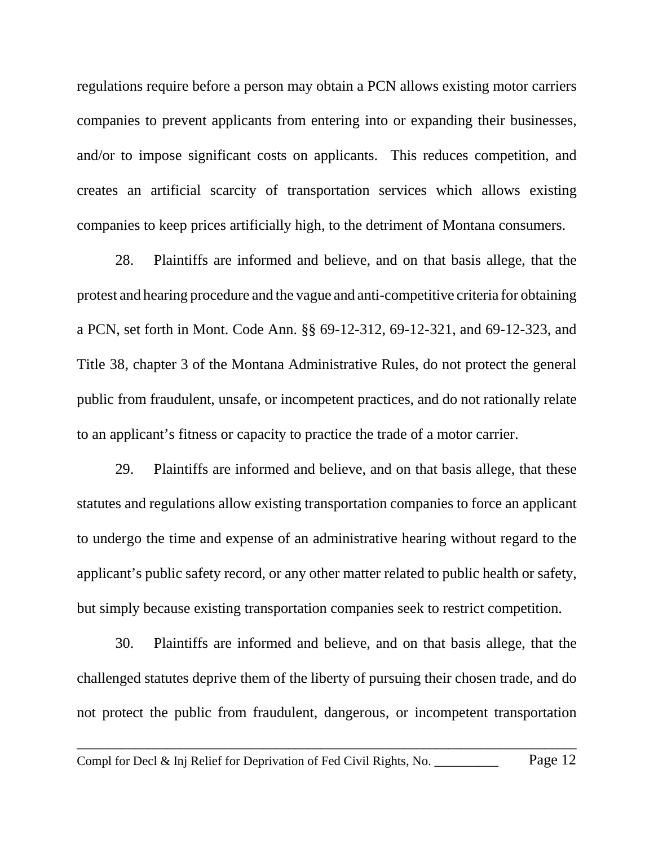regulations require before a person may obtain a PCN allows existing motor carriers companies to prevent applicants from entering into or expanding their businesses, and/or to impose significant costs on applicants. This reduces competition, and creates an artificial scarcity of transportation services which allows existing companies to keep prices artificially high, to the detriment of Montana consumers.

28. Plaintiffs are informed and believe, and on that basis allege, that the protest and hearing procedure and the vague and anti-competitive criteria for obtaining a PCN, set forth in Mont. Code Ann. §§ 69-12-312, 69-12-321, and 69-12-323, and Title 38, chapter 3 of the Montana Administrative Rules, do not protect the general public from fraudulent, unsafe, or incompetent practices, and do not rationally relate to an applicant's fitness or capacity to practice the trade of a motor carrier.

29. Plaintiffs are informed and believe, and on that basis allege, that these statutes and regulations allow existing transportation companies to force an applicant to undergo the time and expense of an administrative hearing without regard to the applicant's public safety record, or any other matter related to public health or safety, but simply because existing transportation companies seek to restrict competition.

30. Plaintiffs are informed and believe, and on that basis allege, that the challenged statutes deprive them of the liberty of pursuing their chosen trade, and do not protect the public from fraudulent, dangerous, or incompetent transportation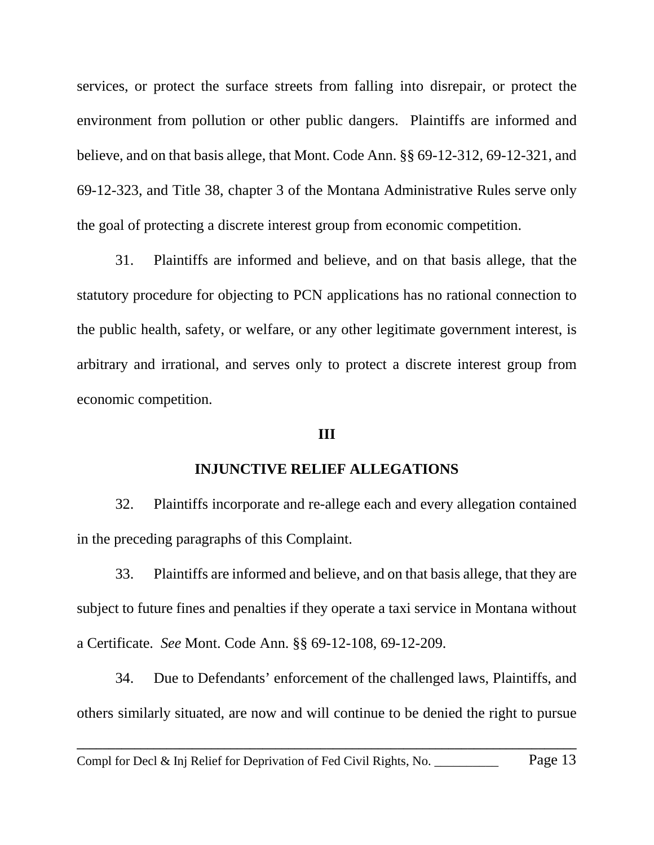services, or protect the surface streets from falling into disrepair, or protect the environment from pollution or other public dangers. Plaintiffs are informed and believe, and on that basis allege, that Mont. Code Ann. §§ 69-12-312, 69-12-321, and 69-12-323, and Title 38, chapter 3 of the Montana Administrative Rules serve only the goal of protecting a discrete interest group from economic competition.

31. Plaintiffs are informed and believe, and on that basis allege, that the statutory procedure for objecting to PCN applications has no rational connection to the public health, safety, or welfare, or any other legitimate government interest, is arbitrary and irrational, and serves only to protect a discrete interest group from economic competition.

#### **III**

### **INJUNCTIVE RELIEF ALLEGATIONS**

32. Plaintiffs incorporate and re-allege each and every allegation contained in the preceding paragraphs of this Complaint.

33. Plaintiffs are informed and believe, and on that basis allege, that they are subject to future fines and penalties if they operate a taxi service in Montana without a Certificate. *See* Mont. Code Ann. §§ 69-12-108, 69-12-209.

34. Due to Defendants' enforcement of the challenged laws, Plaintiffs, and others similarly situated, are now and will continue to be denied the right to pursue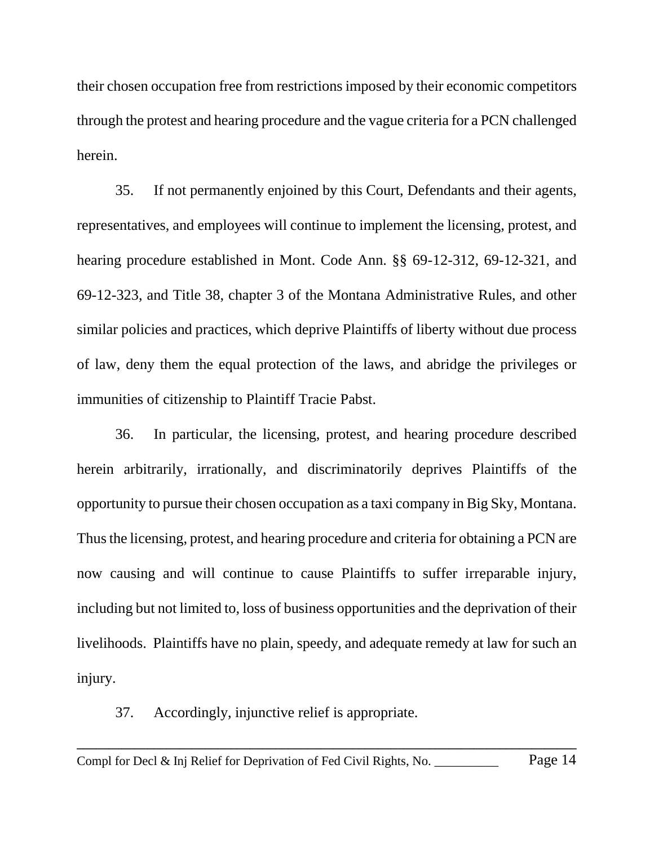their chosen occupation free from restrictions imposed by their economic competitors through the protest and hearing procedure and the vague criteria for a PCN challenged herein.

35. If not permanently enjoined by this Court, Defendants and their agents, representatives, and employees will continue to implement the licensing, protest, and hearing procedure established in Mont. Code Ann. §§ 69-12-312, 69-12-321, and 69-12-323, and Title 38, chapter 3 of the Montana Administrative Rules, and other similar policies and practices, which deprive Plaintiffs of liberty without due process of law, deny them the equal protection of the laws, and abridge the privileges or immunities of citizenship to Plaintiff Tracie Pabst.

36. In particular, the licensing, protest, and hearing procedure described herein arbitrarily, irrationally, and discriminatorily deprives Plaintiffs of the opportunity to pursue their chosen occupation as a taxi company in Big Sky, Montana. Thus the licensing, protest, and hearing procedure and criteria for obtaining a PCN are now causing and will continue to cause Plaintiffs to suffer irreparable injury, including but not limited to, loss of business opportunities and the deprivation of their livelihoods. Plaintiffs have no plain, speedy, and adequate remedy at law for such an injury.

37. Accordingly, injunctive relief is appropriate.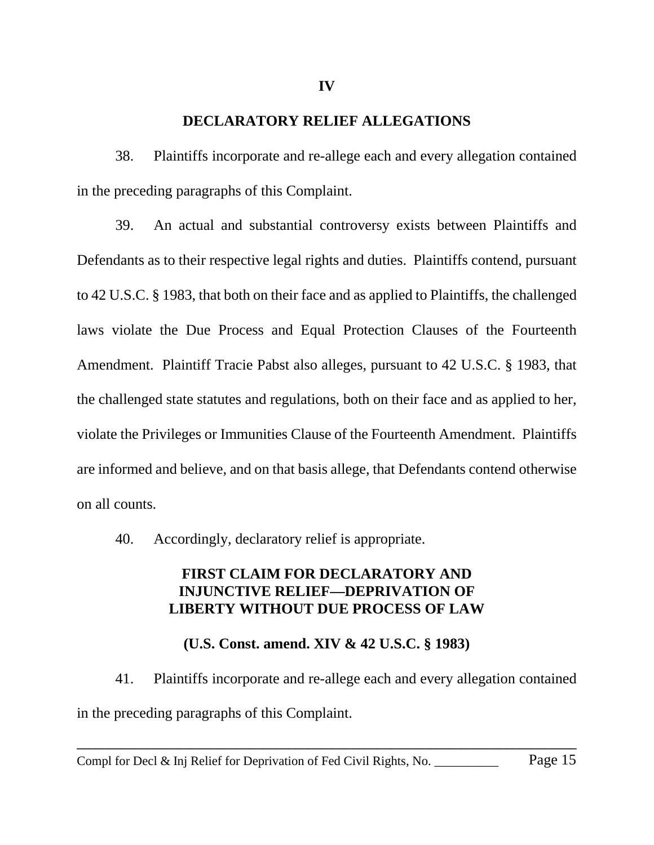#### **DECLARATORY RELIEF ALLEGATIONS**

38. Plaintiffs incorporate and re-allege each and every allegation contained in the preceding paragraphs of this Complaint.

39. An actual and substantial controversy exists between Plaintiffs and Defendants as to their respective legal rights and duties. Plaintiffs contend, pursuant to 42 U.S.C. § 1983, that both on their face and as applied to Plaintiffs, the challenged laws violate the Due Process and Equal Protection Clauses of the Fourteenth Amendment. Plaintiff Tracie Pabst also alleges, pursuant to 42 U.S.C. § 1983, that the challenged state statutes and regulations, both on their face and as applied to her, violate the Privileges or Immunities Clause of the Fourteenth Amendment. Plaintiffs are informed and believe, and on that basis allege, that Defendants contend otherwise on all counts.

40. Accordingly, declaratory relief is appropriate.

# **FIRST CLAIM FOR DECLARATORY AND INJUNCTIVE RELIEF—DEPRIVATION OF LIBERTY WITHOUT DUE PROCESS OF LAW**

### **(U.S. Const. amend. XIV & 42 U.S.C. § 1983)**

41. Plaintiffs incorporate and re-allege each and every allegation contained in the preceding paragraphs of this Complaint.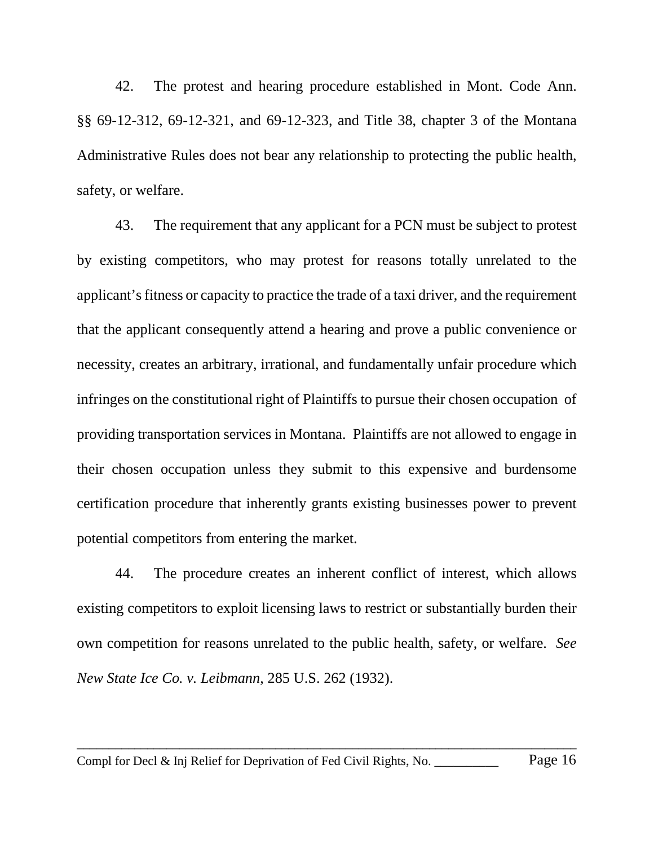42. The protest and hearing procedure established in Mont. Code Ann. §§ 69-12-312, 69-12-321, and 69-12-323, and Title 38, chapter 3 of the Montana Administrative Rules does not bear any relationship to protecting the public health, safety, or welfare.

43. The requirement that any applicant for a PCN must be subject to protest by existing competitors, who may protest for reasons totally unrelated to the applicant's fitness or capacity to practice the trade of a taxi driver, and the requirement that the applicant consequently attend a hearing and prove a public convenience or necessity, creates an arbitrary, irrational, and fundamentally unfair procedure which infringes on the constitutional right of Plaintiffs to pursue their chosen occupation of providing transportation services in Montana. Plaintiffs are not allowed to engage in their chosen occupation unless they submit to this expensive and burdensome certification procedure that inherently grants existing businesses power to prevent potential competitors from entering the market.

44. The procedure creates an inherent conflict of interest, which allows existing competitors to exploit licensing laws to restrict or substantially burden their own competition for reasons unrelated to the public health, safety, or welfare. *See New State Ice Co. v. Leibmann*, 285 U.S. 262 (1932).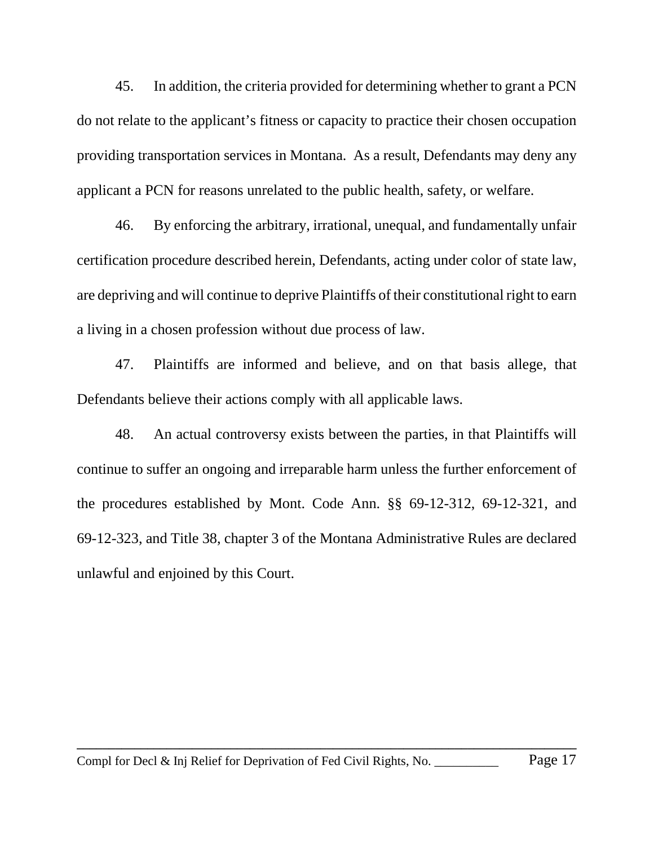45. In addition, the criteria provided for determining whether to grant a PCN do not relate to the applicant's fitness or capacity to practice their chosen occupation providing transportation services in Montana. As a result, Defendants may deny any applicant a PCN for reasons unrelated to the public health, safety, or welfare.

46. By enforcing the arbitrary, irrational, unequal, and fundamentally unfair certification procedure described herein, Defendants, acting under color of state law, are depriving and will continue to deprive Plaintiffs of their constitutional right to earn a living in a chosen profession without due process of law.

47. Plaintiffs are informed and believe, and on that basis allege, that Defendants believe their actions comply with all applicable laws.

48. An actual controversy exists between the parties, in that Plaintiffs will continue to suffer an ongoing and irreparable harm unless the further enforcement of the procedures established by Mont. Code Ann. §§ 69-12-312, 69-12-321, and 69-12-323, and Title 38, chapter 3 of the Montana Administrative Rules are declared unlawful and enjoined by this Court.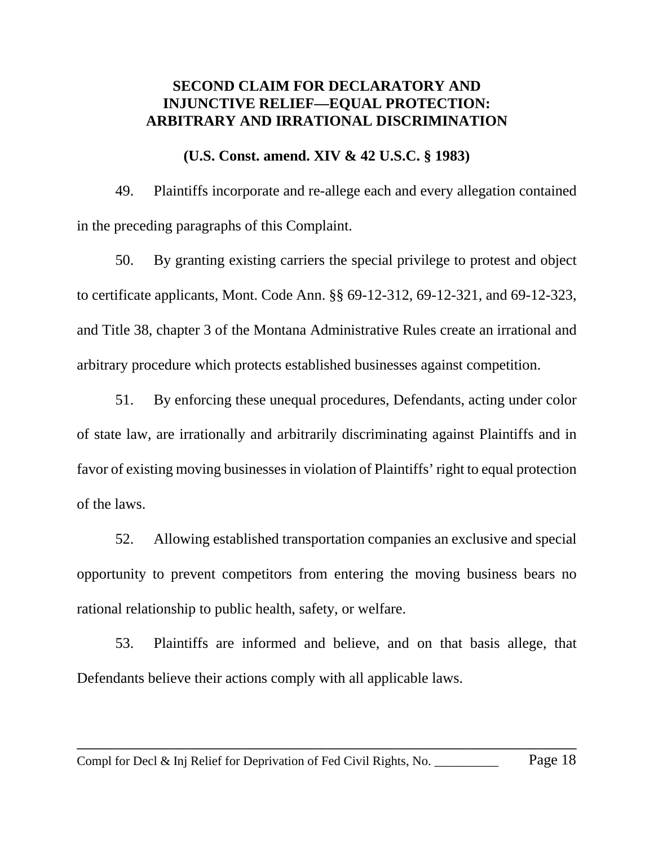### **SECOND CLAIM FOR DECLARATORY AND INJUNCTIVE RELIEF—EQUAL PROTECTION: ARBITRARY AND IRRATIONAL DISCRIMINATION**

#### **(U.S. Const. amend. XIV & 42 U.S.C. § 1983)**

49. Plaintiffs incorporate and re-allege each and every allegation contained in the preceding paragraphs of this Complaint.

50. By granting existing carriers the special privilege to protest and object to certificate applicants, Mont. Code Ann. §§ 69-12-312, 69-12-321, and 69-12-323, and Title 38, chapter 3 of the Montana Administrative Rules create an irrational and arbitrary procedure which protects established businesses against competition.

51. By enforcing these unequal procedures, Defendants, acting under color of state law, are irrationally and arbitrarily discriminating against Plaintiffs and in favor of existing moving businesses in violation of Plaintiffs' right to equal protection of the laws.

52. Allowing established transportation companies an exclusive and special opportunity to prevent competitors from entering the moving business bears no rational relationship to public health, safety, or welfare.

53. Plaintiffs are informed and believe, and on that basis allege, that Defendants believe their actions comply with all applicable laws.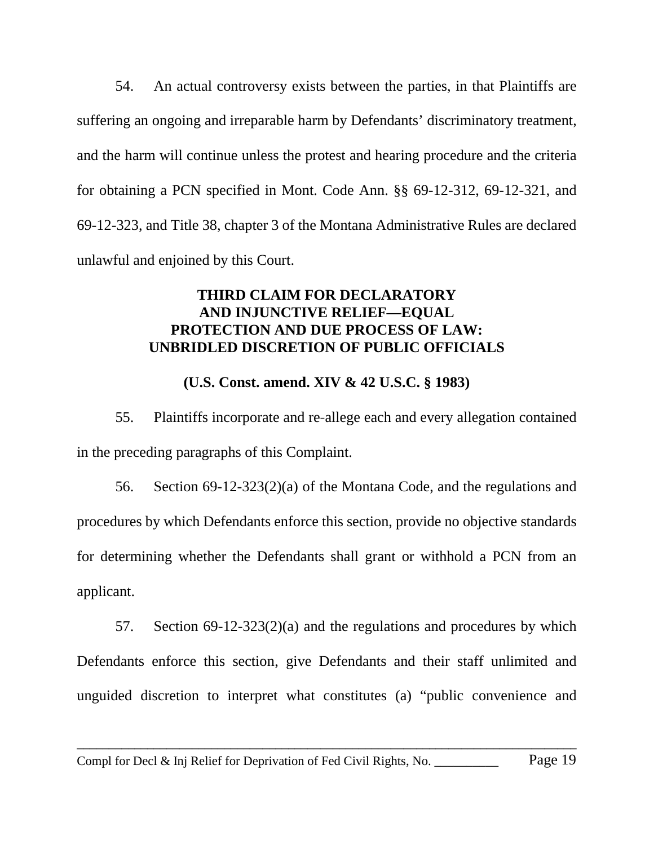54. An actual controversy exists between the parties, in that Plaintiffs are suffering an ongoing and irreparable harm by Defendants' discriminatory treatment, and the harm will continue unless the protest and hearing procedure and the criteria for obtaining a PCN specified in Mont. Code Ann. §§ 69-12-312, 69-12-321, and 69-12-323, and Title 38, chapter 3 of the Montana Administrative Rules are declared unlawful and enjoined by this Court.

# **THIRD CLAIM FOR DECLARATORY AND INJUNCTIVE RELIEF—EQUAL PROTECTION AND DUE PROCESS OF LAW: UNBRIDLED DISCRETION OF PUBLIC OFFICIALS**

# **(U.S. Const. amend. XIV & 42 U.S.C. § 1983)**

55. Plaintiffs incorporate and re-allege each and every allegation contained in the preceding paragraphs of this Complaint.

56. Section 69-12-323(2)(a) of the Montana Code, and the regulations and procedures by which Defendants enforce this section, provide no objective standards for determining whether the Defendants shall grant or withhold a PCN from an applicant.

57. Section 69-12-323(2)(a) and the regulations and procedures by which Defendants enforce this section, give Defendants and their staff unlimited and unguided discretion to interpret what constitutes (a) "public convenience and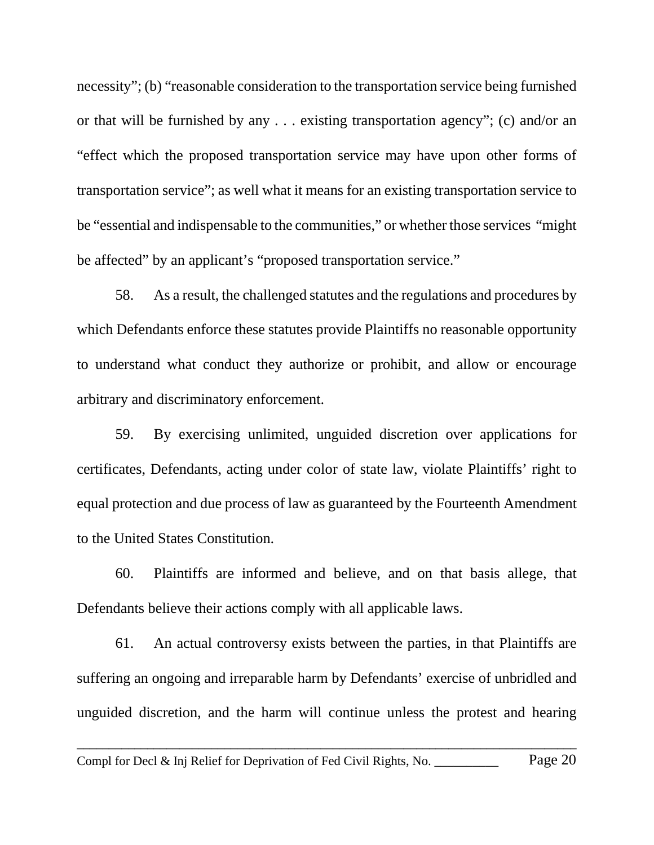necessity"; (b) "reasonable consideration to the transportation service being furnished or that will be furnished by any . . . existing transportation agency"; (c) and/or an "effect which the proposed transportation service may have upon other forms of transportation service"; as well what it means for an existing transportation service to be "essential and indispensable to the communities," or whether those services "might be affected" by an applicant's "proposed transportation service."

58. As a result, the challenged statutes and the regulations and procedures by which Defendants enforce these statutes provide Plaintiffs no reasonable opportunity to understand what conduct they authorize or prohibit, and allow or encourage arbitrary and discriminatory enforcement.

59. By exercising unlimited, unguided discretion over applications for certificates, Defendants, acting under color of state law, violate Plaintiffs' right to equal protection and due process of law as guaranteed by the Fourteenth Amendment to the United States Constitution.

60. Plaintiffs are informed and believe, and on that basis allege, that Defendants believe their actions comply with all applicable laws.

61. An actual controversy exists between the parties, in that Plaintiffs are suffering an ongoing and irreparable harm by Defendants' exercise of unbridled and unguided discretion, and the harm will continue unless the protest and hearing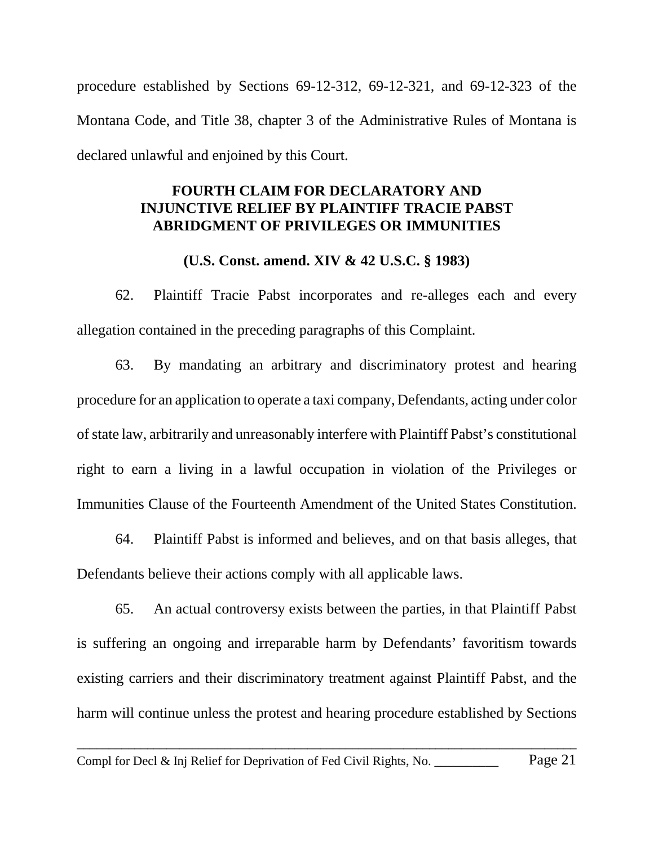procedure established by Sections 69-12-312, 69-12-321, and 69-12-323 of the Montana Code, and Title 38, chapter 3 of the Administrative Rules of Montana is declared unlawful and enjoined by this Court.

# **FOURTH CLAIM FOR DECLARATORY AND INJUNCTIVE RELIEF BY PLAINTIFF TRACIE PABST ABRIDGMENT OF PRIVILEGES OR IMMUNITIES**

### **(U.S. Const. amend. XIV & 42 U.S.C. § 1983)**

62. Plaintiff Tracie Pabst incorporates and re-alleges each and every allegation contained in the preceding paragraphs of this Complaint.

63. By mandating an arbitrary and discriminatory protest and hearing procedure for an application to operate a taxi company, Defendants, acting under color of state law, arbitrarily and unreasonably interfere with Plaintiff Pabst's constitutional right to earn a living in a lawful occupation in violation of the Privileges or Immunities Clause of the Fourteenth Amendment of the United States Constitution.

64. Plaintiff Pabst is informed and believes, and on that basis alleges, that Defendants believe their actions comply with all applicable laws.

65. An actual controversy exists between the parties, in that Plaintiff Pabst is suffering an ongoing and irreparable harm by Defendants' favoritism towards existing carriers and their discriminatory treatment against Plaintiff Pabst, and the harm will continue unless the protest and hearing procedure established by Sections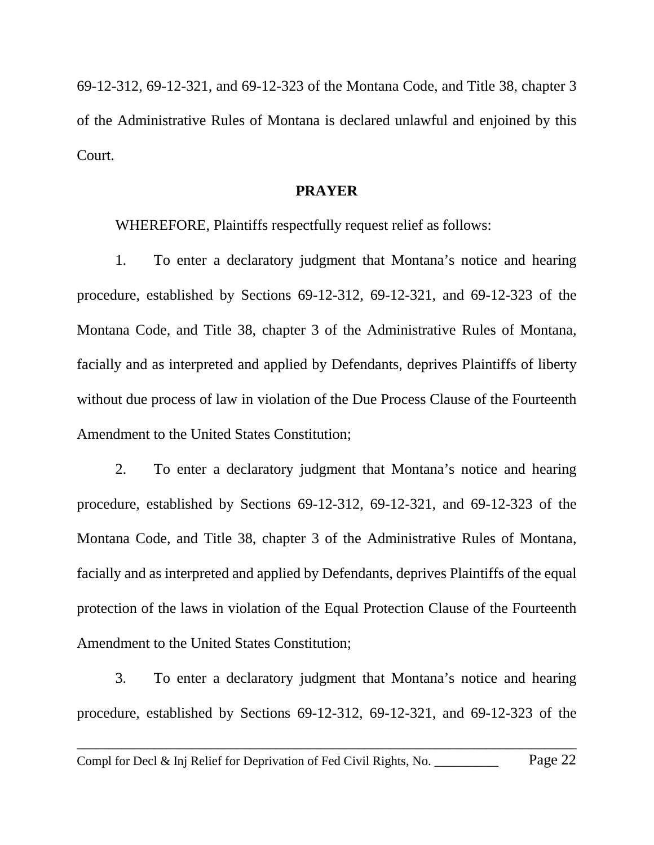69-12-312, 69-12-321, and 69-12-323 of the Montana Code, and Title 38, chapter 3 of the Administrative Rules of Montana is declared unlawful and enjoined by this Court.

#### **PRAYER**

WHEREFORE, Plaintiffs respectfully request relief as follows:

1. To enter a declaratory judgment that Montana's notice and hearing procedure, established by Sections 69-12-312, 69-12-321, and 69-12-323 of the Montana Code, and Title 38, chapter 3 of the Administrative Rules of Montana, facially and as interpreted and applied by Defendants, deprives Plaintiffs of liberty without due process of law in violation of the Due Process Clause of the Fourteenth Amendment to the United States Constitution;

2. To enter a declaratory judgment that Montana's notice and hearing procedure, established by Sections 69-12-312, 69-12-321, and 69-12-323 of the Montana Code, and Title 38, chapter 3 of the Administrative Rules of Montana, facially and as interpreted and applied by Defendants, deprives Plaintiffs of the equal protection of the laws in violation of the Equal Protection Clause of the Fourteenth Amendment to the United States Constitution;

3. To enter a declaratory judgment that Montana's notice and hearing procedure, established by Sections 69-12-312, 69-12-321, and 69-12-323 of the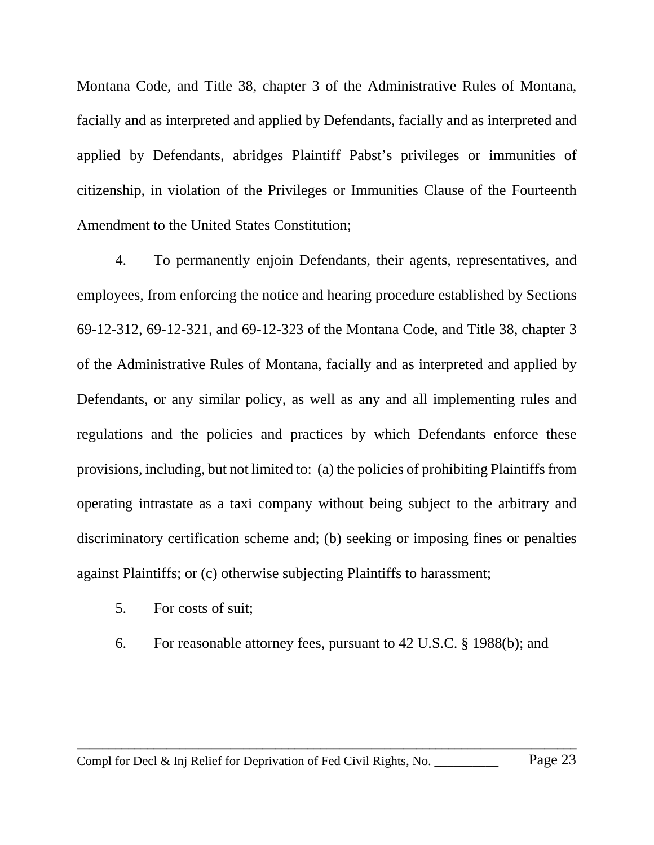Montana Code, and Title 38, chapter 3 of the Administrative Rules of Montana, facially and as interpreted and applied by Defendants, facially and as interpreted and applied by Defendants, abridges Plaintiff Pabst's privileges or immunities of citizenship, in violation of the Privileges or Immunities Clause of the Fourteenth Amendment to the United States Constitution;

4. To permanently enjoin Defendants, their agents, representatives, and employees, from enforcing the notice and hearing procedure established by Sections 69-12-312, 69-12-321, and 69-12-323 of the Montana Code, and Title 38, chapter 3 of the Administrative Rules of Montana, facially and as interpreted and applied by Defendants, or any similar policy, as well as any and all implementing rules and regulations and the policies and practices by which Defendants enforce these provisions, including, but not limited to: (a) the policies of prohibiting Plaintiffs from operating intrastate as a taxi company without being subject to the arbitrary and discriminatory certification scheme and; (b) seeking or imposing fines or penalties against Plaintiffs; or (c) otherwise subjecting Plaintiffs to harassment;

- 5. For costs of suit;
- 6. For reasonable attorney fees, pursuant to 42 U.S.C. § 1988(b); and